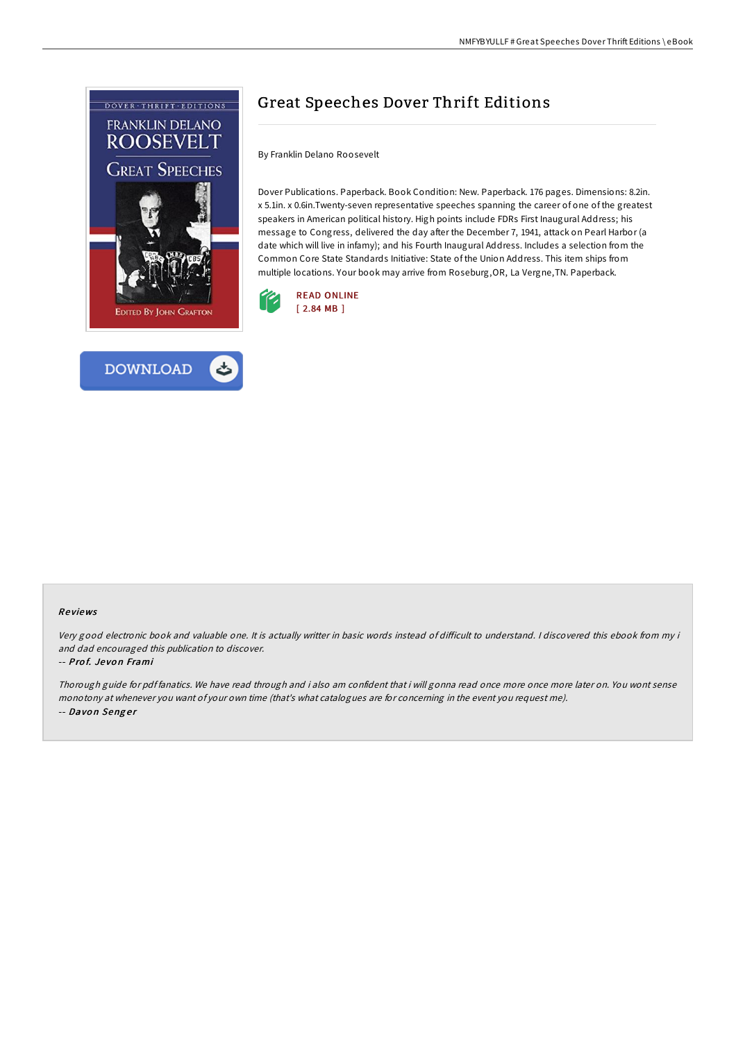



# Great Speeches Dover Thrift Editions

By Franklin Delano Roosevelt

Dover Publications. Paperback. Book Condition: New. Paperback. 176 pages. Dimensions: 8.2in. x 5.1in. x 0.6in.Twenty-seven representative speeches spanning the career of one of the greatest speakers in American political history. High points include FDRs First Inaugural Address; his message to Congress, delivered the day after the December 7, 1941, attack on Pearl Harbor (a date which will live in infamy); and his Fourth Inaugural Address. Includes a selection from the Common Core State Standards Initiative: State of the Union Address. This item ships from multiple locations. Your book may arrive from Roseburg,OR, La Vergne,TN. Paperback.



## Re views

Very good electronic book and valuable one. It is actually writter in basic words instead of difficult to understand. I discovered this ebook from my i and dad encouraged this publication to discover.

#### -- Prof. Jevon Frami

Thorough guide for pdf fanatics. We have read through and i also am confident that i will gonna read once more once more later on. You wont sense monotony at whenever you want of your own time (that's what catalogues are for concerning in the event you request me). -- Davon Senger